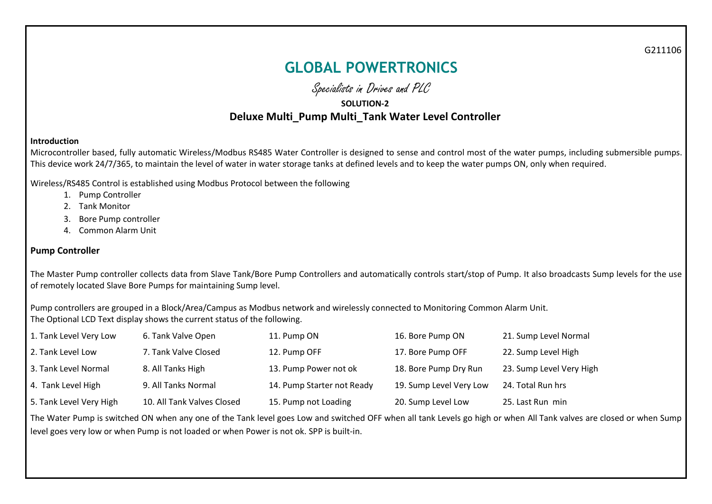G211106

# **GLOBAL POWERTRONICS**

Specialists in Drives and PLC

# **SOLUTION-2 Deluxe Multi\_Pump Multi\_Tank Water Level Controller**

#### **Introduction**

Microcontroller based, fully automatic Wireless/Modbus RS485 Water Controller is designed to sense and control most of the water pumps, including submersible pumps. This device work 24/7/365, to maintain the level of water in water storage tanks at defined levels and to keep the water pumps ON, only when required.

Wireless/RS485 Control is established using Modbus Protocol between the following

- 1. Pump Controller
- 2. Tank Monitor
- 3. Bore Pump controller
- 4. Common Alarm Unit

#### **Pump Controller**

The Master Pump controller collects data from Slave Tank/Bore Pump Controllers and automatically controls start/stop of Pump. It also broadcasts Sump levels for the use of remotely located Slave Bore Pumps for maintaining Sump level.

Pump controllers are grouped in a Block/Area/Campus as Modbus network and wirelessly connected to Monitoring Common Alarm Unit. The Optional LCD Text display shows the current status of the following.

| 1. Tank Level Very Low  | 6. Tank Valve Open         | 11. Pump ON                | 16. Bore Pump ON        | 21. Sump Level Normal    |
|-------------------------|----------------------------|----------------------------|-------------------------|--------------------------|
| 2. Tank Level Low       | 7. Tank Valve Closed       | 12. Pump OFF               | 17. Bore Pump OFF       | 22. Sump Level High      |
| 3. Tank Level Normal    | 8. All Tanks High          | 13. Pump Power not ok      | 18. Bore Pump Dry Run   | 23. Sump Level Very High |
| 4. Tank Level High      | 9. All Tanks Normal        | 14. Pump Starter not Ready | 19. Sump Level Very Low | 24. Total Run hrs        |
| 5. Tank Level Very High | 10. All Tank Valves Closed | 15. Pump not Loading       | 20. Sump Level Low      | 25. Last Run min         |

The Water Pump is switched ON when any one of the Tank level goes Low and switched OFF when all tank Levels go high or when All Tank valves are closed or when Sump level goes very low or when Pump is not loaded or when Power is not ok. SPP is built-in.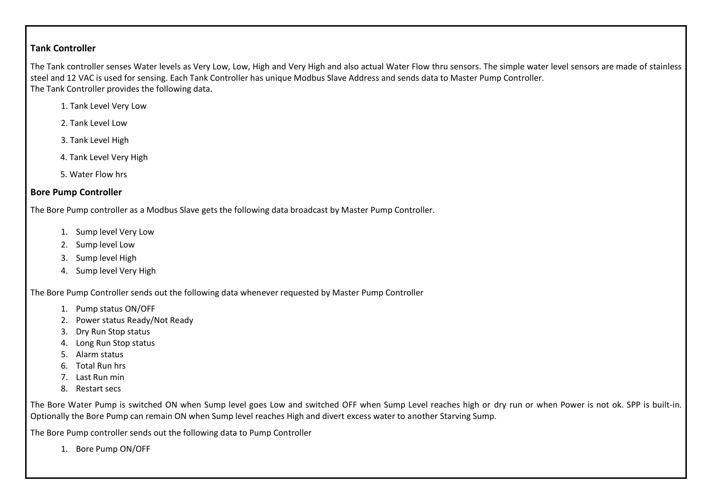### **Tank Controller**

The Tank controller senses Water levels as Very Low, Low, High and Very High and also actual Water Flow thru sensors. The simple water level sensors are made of stainless steel and 12 VAC is used for sensing. Each Tank Controller has unique Modbus Slave Address and sends data to Master Pump Controller. The Tank Controller provides the following data.

- 1. Tank Level Very Low
- 2. Tank Level Low
- 3. Tank Level High
- 4. Tank Level Very High
- 5. Water Flow hrs

# **Bore Pump Controller**

The Bore Pump controller as a Modbus Slave gets the following data broadcast by Master Pump Controller.

- 1. Sump level Very Low
- 2. Sump level Low
- 3. Sump level High
- 4. Sump level Very High

The Bore Pump Controller sends out the following data whenever requested by Master Pump Controller

- 1. Pump status ON/OFF
- 2. Power status Ready/Not Ready
- 3. Dry Run Stop status
- 4. Long Run Stop status
- 5. Alarm status
- 6. Total Run hrs
- 7. Last Run min
- 8. Restart secs

The Bore Water Pump is switched ON when Sump level goes Low and switched OFF when Sump Level reaches high or dry run or when Power is not ok. SPP is built-in. Optionally the Bore Pump can remain ON when Sump level reaches High and divert excess water to another Starving Sump.

The Bore Pump controller sends out the following data to Pump Controller

1. Bore Pump ON/OFF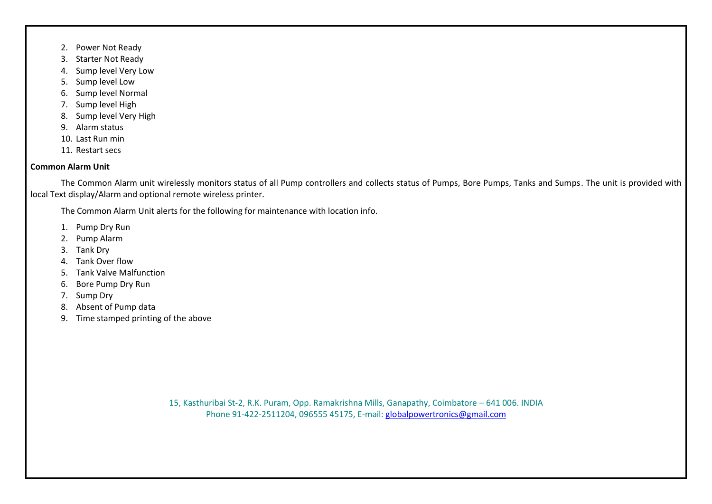- 2. Power Not Ready
- 3. Starter Not Ready
- 4. Sump level Very Low
- 5. Sump level Low
- 6. Sump level Normal
- 7. Sump level High
- 8. Sump level Very High
- 9. Alarm status
- 10. Last Run min
- 11. Restart secs

## **Common Alarm Unit**

The Common Alarm unit wirelessly monitors status of all Pump controllers and collects status of Pumps, Bore Pumps, Tanks and Sumps. The unit is provided with local Text display/Alarm and optional remote wireless printer.

The Common Alarm Unit alerts for the following for maintenance with location info.

- 1. Pump Dry Run
- 2. Pump Alarm
- 3. Tank Dry
- 4. Tank Over flow
- 5. Tank Valve Malfunction
- 6. Bore Pump Dry Run
- 7. Sump Dry
- 8. Absent of Pump data
- 9. Time stamped printing of the above

15, Kasthuribai St-2, R.K. Puram, Opp. Ramakrishna Mills, Ganapathy, Coimbatore – 641 006. INDIA Phone 91-422-2511204, 096555 45175, E-mail: [globalpowertronics@gmail.com](mailto:globalpowertronics@gmail.com)